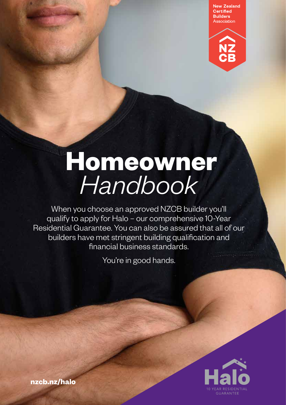**New Zealand** Certified **Builders** Association



# **Homeowner**  *Handbook*

When you choose an approved NZCB builder you'll qualify to apply for Halo – our comprehensive 10-Year Residential Guarantee. You can also be assured that all of our builders have met stringent building qualification and financial business standards.

You're in good hands.



**nzcb.nz/halo**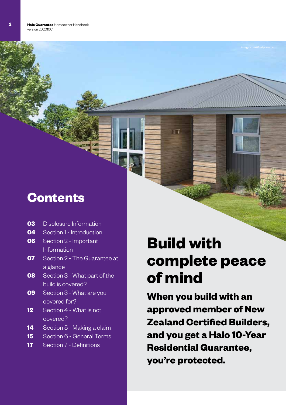### **Contents**

- Disclosure Information **03**
- Section 1 Introduction **04**
- Section 2 Important Information **06**
- Section 2 The Guarantee at a glance **07**
- Section 3 What part of the build is covered? **08**
- Section 3 What are you covered for? **09**
- Section 4 What is not covered? **12**
- Section 5 Making a claim **14**
- Section 6 General Terms **15**
- Section 7 Definitions **17**

## **Build with complete peace of mind**

 $\top$ 

**When you build with an approved member of New Zealand Certified Builders, and you get a Halo 10-Year Residential Guarantee, you're protected.**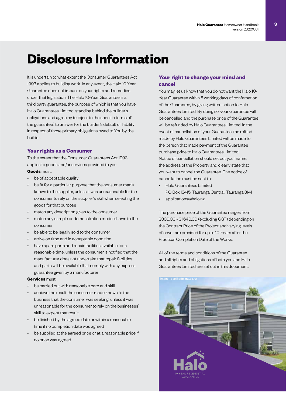### **Disclosure Information**

It is uncertain to what extent the Consumer Guarantees Act 1993 applies to building work. In any event, the Halo 10-Year Guarantee does not impact on your rights and remedies under that legislation. The Halo 10-Year Guarantee is a third party guarantee, the purpose of which is that you have Halo Guarantees Limited, standing behind the builder's obligations and agreeing (subject to the specific terms of the guarantee) to answer for the builder's default or liability in respect of those primary obligations owed to You by the builder.

#### **Your rights as a Consumer**

To the extent that the Consumer Guarantees Act 1993 applies to goods and/or services provided to you.

#### **Goods** must:

- be of acceptable quality
- be fit for a particular purpose that the consumer made known to the supplier, unless it was unreasonable for the consumer to rely on the supplier's skill when selecting the goods for that purpose
- match any description given to the consumer
- match any sample or demonstration model shown to the consumer
- be able to be legally sold to the consumer
- arrive on time and in acceptable condition
- have spare parts and repair facilities available for a reasonable time, unless the consumer is notified that the manufacturer does not undertake that repair facilities and parts will be available that comply with any express guarantee given by a manufacturer

#### **Services** must:

- be carried out with reasonable care and skill
- achieve the result the consumer made known to the business that the consumer was seeking, unless it was unreasonable for the consumer to rely on the businesses' skill to expect that result
- be finished by the agreed date or within a reasonable time if no completion date was agreed
- be supplied at the agreed price or at a reasonable price if no price was agreed

#### **Your right to change your mind and cancel**

You may let us know that you do not want the Halo 10- Year Guarantee within 5 working days of confirmation of the Guarantee, by giving written notice to Halo Guarantees Limited. By doing so, your Guarantee will be cancelled and the purchase price of the Guarantee will be refunded by Halo Guarantees Limited. In the event of cancellation of your Guarantee, the refund made by Halo Guarantees Limited will be made to the person that made payment of the Guarantee purchase price to Halo Guarantees Limited. Notice of cancellation should set out your name, the address of the Property and clearly state that you want to cancel the Guarantee. The notice of cancellation must be sent to:

- Halo Guarantees Limited PO Box 13415, Tauranga Central, Tauranga 3141
- applications@halo.nz

The purchase price of the Guarantee ranges from \$300.00 - \$1,640.00 (excluding GST) depending on the Contract Price of the Project and varying levels of cover are provided for up to 10-Years after the Practical Completion Date of the Works.

All of the terms and conditions of the Guarantee and all rights and obligations of both you and Halo Guarantees Limited are set out in this document.

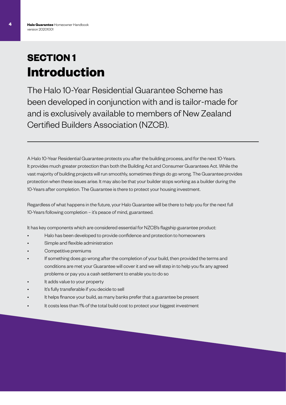### **SECTION 1 Introduction**

The Halo 10-Year Residential Guarantee Scheme has been developed in conjunction with and is tailor-made for and is exclusively available to members of New Zealand Certified Builders Association (NZCB).

A Halo 10-Year Residential Guarantee protects you after the building process, and for the next 10-Years. It provides much greater protection than both the Building Act and Consumer Guarantees Act. While the vast majority of building projects will run smoothly, sometimes things do go wrong. The Guarantee provides protection when these issues arise. It may also be that your builder stops working as a builder during the 10-Years after completion. The Guarantee is there to protect your housing investment.

Regardless of what happens in the future, your Halo Guarantee will be there to help you for the next full 10-Years following completion – it's peace of mind, guaranteed.

It has key components which are considered essential for NZCB's flagship guarantee product:

- Halo has been developed to provide confidence and protection to homeowners
- Simple and flexible administration
- Competitive premiums
- If something does go wrong after the completion of your build, then provided the terms and conditions are met your Guarantee will cover it and we will step in to help you fix any agreed problems or pay you a cash settlement to enable you to do so
- It adds value to your property
- It's fully transferable if you decide to sell
- It helps finance your build, as many banks prefer that a guarantee be present
- It costs less than 1% of the total build cost to protect your biggest investment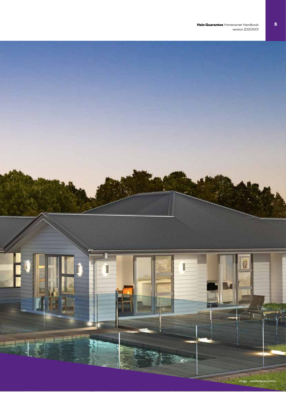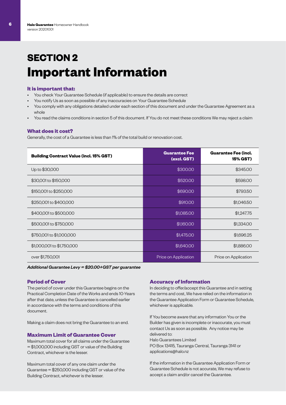### **SECTION 2 Important Information**

#### **It is important that:**

- You check Your Guarantee Schedule (if applicable) to ensure the details are correct
- You notify Us as soon as possible of any inaccuracies on Your Guarantee Schedule
- You comply with any obligations detailed under each section of this document and under the Guarantee Agreement as a whole
- You read the claims conditions in section 5 of this document. If You do not meet these conditions We may reject a claim

#### **What does it cost?**

Generally, the cost of a Guarantee is less than 1% of the total build or renovation cost.

| <b>Building Contract Value (incl. 15% GST)</b> | <b>Guarantee Fee</b><br>(excl. GST) | <b>Guarantee Fee (incl.</b><br>15% GST) |
|------------------------------------------------|-------------------------------------|-----------------------------------------|
| Up to \$30,000                                 | \$300.00                            | \$345.00                                |
| \$30,001 to \$150,000                          | \$520.00                            | \$598.00                                |
| \$150,001 to \$250,000                         | \$690.00                            | \$793.50                                |
| \$250,001 to \$400,000                         | \$910.00                            | \$1,046.50                              |
| \$400,001 to \$500,000                         | \$1,085.00                          | \$1,247.75                              |
| \$500,001 to \$750,000                         | \$1,160.00                          | \$1,334.00                              |
| \$750,001 to \$1,000,000                       | \$1,475.00                          | \$1,696.25                              |
| \$1,000,001 to \$1,750,000                     | \$1,640.00                          | \$1,886.00                              |
| over \$1,750,001                               | Price on Application                | Price on Application                    |

*Additional Guarantee Levy = \$20.00+GST per guarantee*

#### **Period of Cover**

The period of cover under this Guarantee begins on the Practical Completion Date of the Works and ends 10-Years after that date, unless the Guarantee is cancelled earlier in accordance with the terms and conditions of this document.

Making a claim does not bring the Guarantee to an end.

#### **Maximum Limit of Guarantee Cover**

Maximum total cover for all claims under the Guarantee = \$1,000,000 including GST or value of the Building Contract, whichever is the lesser.

Maximum total cover of any one claim under the Guarantee = \$250,000 including GST or value of the Building Contract, whichever is the lesser.

#### **Accuracy of Information**

In deciding to offer/accept this Guarantee and in setting the terms and cost, We have relied on the information in the Guarantee Application Form or Guarantee Schedule, whichever is applicable.

If You become aware that any information You or the Builder has given is incomplete or inaccurate, you must contact Us as soon as possible. Any notice may be delivered to: Halo Guarantees Limited

PO Box 13415, Tauranga Central, Tauranga 3141 or applications@halo.nz

If the information in the Guarantee Application Form or Guarantee Schedule is not accurate, We may refuse to accept a claim and/or cancel the Guarantee.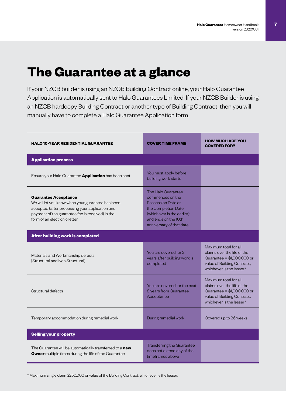### **The Guarantee at a glance**

If your NZCB builder is using an NZCB Building Contract online, your Halo Guarantee Application is automatically sent to Halo Guarantees Limited. If your NZCB Builder is using an NZCB hardcopy Building Contract or another type of Building Contract, then you will manually have to complete a Halo Guarantee Application form.

| <b>HALO 10-YEAR RESIDENTIAL GUARANTEE</b>                                                                                                                                                                               | <b>COVER TIME FRAME</b>                                                                                                                                               | <b>HOW MUCH ARE YOU</b><br><b>COVERED FOR?</b>                                                                                                |
|-------------------------------------------------------------------------------------------------------------------------------------------------------------------------------------------------------------------------|-----------------------------------------------------------------------------------------------------------------------------------------------------------------------|-----------------------------------------------------------------------------------------------------------------------------------------------|
| <b>Application process</b>                                                                                                                                                                                              |                                                                                                                                                                       |                                                                                                                                               |
| Ensure your Halo Guarantee <b>Application</b> has been sent                                                                                                                                                             | You must apply before<br>building work starts                                                                                                                         |                                                                                                                                               |
| <b>Guarantee Acceptance</b><br>We will let you know when your guarantee has been<br>accepted (after processing your application and<br>payment of the guarantee fee is received) in the<br>form of an electronic letter | The Halo Guarantee<br>commences on the<br>Possession Date or<br>the Completion Date<br>(whichever is the earlier)<br>and ends on the 10th<br>anniversary of that date |                                                                                                                                               |
| <b>After building work is completed</b>                                                                                                                                                                                 |                                                                                                                                                                       |                                                                                                                                               |
| Materials and Workmanship defects<br><b>Structural and Non Structurall</b>                                                                                                                                              | You are covered for 2<br>years after building work is<br>completed                                                                                                    | Maximum total for all<br>claims over the life of the<br>Guarantee = \$1,000,000 or<br>value of Building Contract,<br>whichever is the lesser* |
| Structural defects                                                                                                                                                                                                      | You are covered for the next<br>8 years from Guarantee<br>Acceptance                                                                                                  | Maximum total for all<br>claims over the life of the<br>Guarantee = \$1,000,000 or<br>value of Building Contract,<br>whichever is the lesser* |
| Temporary accommodation during remedial work                                                                                                                                                                            | During remedial work                                                                                                                                                  | Covered up to 26 weeks                                                                                                                        |
| <b>Selling your property</b>                                                                                                                                                                                            |                                                                                                                                                                       |                                                                                                                                               |
| The Guarantee will be automatically transferred to a new<br>Owner multiple times during the life of the Guarantee                                                                                                       | <b>Transferring the Guarantee</b><br>does not extend any of the<br>timeframes above                                                                                   |                                                                                                                                               |

\* Maximum single claim \$250,000 or value of the Building Contract, whichever is the lesser.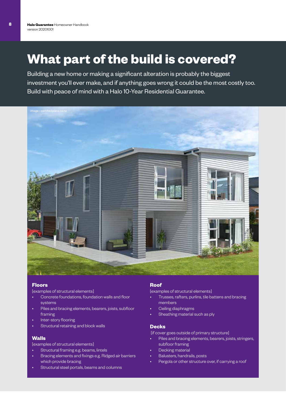### **What part of the build is covered?**

Building a new home or making a significant alteration is probably the biggest investment you'll ever make, and if anything goes wrong it could be the most costly too. Build with peace of mind with a Halo 10-Year Residential Guarantee.



#### **Floors**

[examples of structural elements]

- Concrete foundations, foundation walls and floor systems
- Piles and bracing elements, bearers, joists, subfloor framing
- Inter-story flooring
- Structural retaining and block walls

#### **Walls**

[examples of structural elements]

- Structural framing e.g. beams, lintels
- Bracing elements and fixings e.g. Ridged air barriers which provide bracing
- Structural steel portals, beams and columns

#### **Roof**

[examples of structural elements]

- Trusses, rafters, purlins, tile battens and bracing members
- Ceiling diaphragms
- Sheathing material such as ply

#### **Decks**

[if cover goes outside of primary structure]

- Piles and bracing elements, bearers, joists, stringers, subfloor framing
- Decking material
- Balusters, handrails, posts
- Pergola or other structure over, if carrying a roof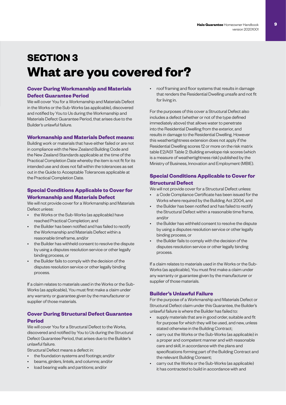### **SECTION 3 What are you covered for?**

#### **Cover During Workmanship and Materials Defect Guarantee Period**

We will cover You for a Workmanship and Materials Defect in the Works or the Sub-Works (as applicable), discovered and notified by You to Us during the Workmanship and Materials Defect Guarantee Period, that arises due to the Builder's unlawful failure.

#### **Workmanship and Materials Defect means:**

Building work or materials that have either failed or are not in compliance with the New Zealand Building Code and the New Zealand Standards applicable at the time of the Practical Completion Date whereby the item is not fit for its intended use and does not fall within the tolerances as set out in the Guide to Acceptable Tolerances applicable at the Practical Completion Date.

#### **Special Conditions Applicable to Cover for Workmanship and Materials Defect**

We will not provide cover for a Workmanship and Materials Defect unless:

- the Works or the Sub-Works (as applicable) have reached Practical Completion; and
- the Builder has been notified and has failed to rectify the Workmanship and Materials Defect within a reasonable timeframe, and/or
- the Builder has withheld consent to resolve the dispute by using a disputes resolution service or other legally binding process, or
- the Builder fails to comply with the decision of the disputes resolution service or other legally binding process.

If a claim relates to materials used in the Works or the Sub-Works (as applicable), You must first make a claim under any warranty or guarantee given by the manufacturer or supplier of those materials.

#### **Cover During Structural Defect Guarantee Period**

We will cover You for a Structural Defect to the Works, discovered and notified by You to Us during the Structural Defect Guarantee Period, that arises due to the Builder's unlawful failure.

Structural Defect means a defect in:

- the foundation systems and footings; and/or
- beams, girders, lintels, and columns; and/or
- load bearing walls and partitions; and/or

• roof framing and floor systems that results in damage that renders the Residential Dwelling unsafe and not fit for living in.

For the purposes of this cover a Structural Defect also includes a defect (whether or not of the type defined immediately above) that allows water to penetrate into the Residential Dwelling from the exterior, and results in damage to the Residential Dwelling. However this weathertightness extension does not apply if the Residential Dwelling scores 12 or more on the risk matrix table E2/AS1 Table 2: Building envelope risk scores (which is a measure of weathertightness risk) published by the Ministry of Business, Innovation and Employment (MBIE).

#### **Special Conditions Applicable to Cover for Structural Defect**

We will not provide cover for a Structural Defect unless:

- a Code Compliance Certificate has been issued for the Works where required by the Building Act 2004, and
- the Builder has been notified and has failed to rectify the Structural Defect within a reasonable time frame, and/or
- the Builder has withheld consent to resolve the dispute by using a disputes resolution service or other legally binding process, or
- the Builder fails to comply with the decision of the disputes resolution service or other legally binding process.

If a claim relates to materials used in the Works or the Sub-Works (as applicable), You must first make a claim under any warranty or guarantee given by the manufacturer or supplier of those materials.

#### **Builder's Unlawful Failure**

For the purpose of a Workmanship and Materials Defect or Structural Defect claim under this Guarantee, the Builder's unlawful failure is where the Builder has failed to:

- supply materials that are in good order, suitable and fit for purpose for which they will be used, and new, unless stated otherwise in the Building Contract;
- carry out the Works or the Sub-Works (as applicable) in a proper and competent manner and with reasonable care and skill, in accordance with the plans and specifications forming part of the Building Contract and the relevant Building Consent;
- carry out the Works or the Sub-Works (as applicable) it has contracted to build in accordance with and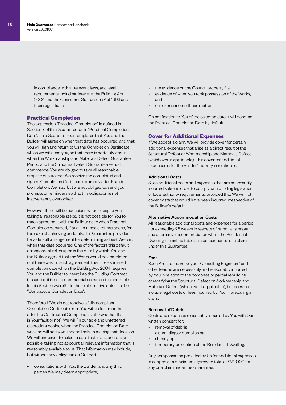in compliance with all relevant laws, and legal requirements including, inter alia the Building Act 2004 and the Consumer Guarantees Act 1993 and their regulations.

#### **Practical Completion**

The expression "Practical Completion" is defined in Section 7 of this Guarantee, as is "Practical Completion Date". This Guarantee contemplates that You and the Builder will agree on when that date has occurred, and that you will sign and return to Us the Completion Certificate which we will send you, so that there is certainty about when the Workmanship and Materials Defect Guarantee Period and the Structural Defect Guarantee Period commence. You are obliged to take all reasonable steps to ensure that We receive the completed and signed Completion Certificate promptly after Practical Completion. We may, but are not obliged to, send you prompts or reminders so that this obligation is not inadvertently overlooked.

However there will be occasions where, despite you taking all reasonable steps, it is not possible for You to reach agreement with the Builder as to when Practical Completion occurred, if at all. In those circumstances, for the sake of achieving certainty, this Guarantee provides for a default arrangement for determining as best We can, when that date occurred. One of the factors this default arrangement relies upon is the date by which You and the Builder agreed that the Works would be completed, or if there was no such agreement, then the estimated completion date which the Building Act 2004 requires You and the Builder to insert into the Building Contract (assuming it is not a commercial construction contract). In this Section we refer to these alternative dates as the "Contractual Completion Date".

Therefore, if We do not receive a fully compliant Completion Certificate from You within four months after the Contractual Completion Date (whether that is Your fault or not), We will (in our sole and unfettered discretion) decide when the Practical Completion Date was and will notify you accordingly. In making that decision We will endeavor to select a date that is as accurate as possible, taking into account all relevant information that is reasonably available to us, That information may include, but without any obligation on Our part:

• consultations with You, the Builder, and any third parties We may deem appropriate,

- the evidence on the Council property file,
- evidence of when you took possession of the Works, and
- our experience in these matters.

On notification to You of the selected date, it will become the Practical Completion Date by default.

#### **Cover for Additional Expenses**

If We accept a claim, We will provide cover for certain additional expenses that arise as a direct result of the Structural Defect or Workmanship and Materials Defect (whichever is applicable). This cover for additional expenses is for the Builder's liability in relation to:

#### Additional Costs

Such additional costs and expenses that are necessarily incurred solely in order to comply with building legislation or local authority requirements, provided that We will not cover costs that would have been incurred irrespective of the Builder's default.

#### Alternative Accommodation Costs

All reasonable additional costs and expenses for a period not exceeding 26 weeks in respect of removal, storage and alternative accommodation whilst the Residential Dwelling is uninhabitable as a consequence of a claim under this Guarantee.

#### Fees

Such Architects, Surveyors, Consulting Engineers' and other fees as are necessarily and reasonably incurred, by You in relation to the complete or partial rebuilding or rectifying the Structural Defect or Workmanship and Materials Defect (whichever is applicable), but does not include legal costs or fees incurred by You in preparing a claim.

#### Removal of Debris

Costs and expenses reasonably incurred by You with Our written consent for:

- removal of debris
- dismantling or demolishing
- shoring up
- temporary protection of the Residential Dwelling.

Any compensation provided by Us for additional expenses is capped at a maximum aggregate total of \$20,000 for any one claim under the Guarantee.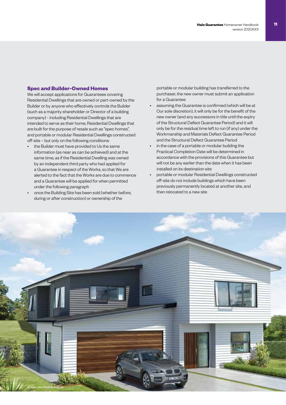#### **Spec and Builder-Owned Homes**

We will accept applications for Guarantees covering Residential Dwellings that are owned or part-owned by the Builder or by anyone who effectively controls the Builder (such as a majority shareholder or Director of a building company) - including Residential Dwellings that are intended to serve as their home, Residential Dwellings that are built for the purpose of resale such as "spec homes", and portable or modular Residential Dwellings constructed off-site – but only on the following conditions:

- the Builder must have provided to Us the same information (as near as can be achieved) and at the same time, as if the Residential Dwelling was owned by an independent third party who had applied for a Guarantee in respect of the Works, so that We are alerted to the fact that the Works are due to commence and a Guarantee will be applied for when permitted under the following paragraph
- once the Building Site has been sold (whether before, during or after construction) or ownership of the

portable or modular building has transferred to the purchaser, the new owner must submit an application for a Guarantee

- assuming the Guarantee is confirmed (which will be at Our sole discretion), it will only be for the benefit of the new owner (and any successors in title until the expiry of the Structural Defect Guarantee Period) and it will only be for the residual time left to run (if any) under the Workmanship and Materials Defect Guarantee Period and the Structural Defect Guarantee Period
- in the case of a portable or modular building the Practical Completion Date will be determined in accordance with the provisions of this Guarantee but will not be any earlier than the date when it has been installed on its destination site
- portable or modular Residential Dwellings constructed off-site do not include buildings which have been previously permanently located at another site, and then relocated to a new site

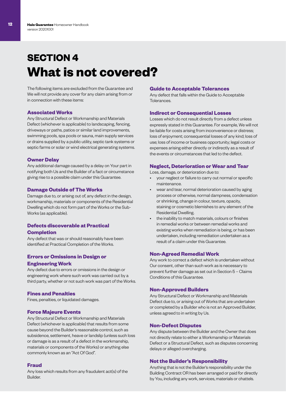### **SECTION 4 What is not covered?**

The following items are excluded from the Guarantee and We will not provide any cover for any claim arising from or in connection with these items:

#### **Associated Works**

Any Structural Defect or Workmanship and Materials Defect (whichever is applicable) to landscaping, fencing, driveways or paths, patios or similar land improvements, swimming pools, spa pools or sauna, main supply services or drains supplied by a public utility, septic tank systems or septic farms or solar or wind electrical generating systems.

#### **Owner Delay**

Any additional damage caused by a delay on Your part in notifying both Us and the Builder of a fact or circumstance giving rise to a possible claim under this Guarantee.

#### **Damage Outside of The Works**

Damage due to, or arising out of, any defect in the design, workmanship, materials or components of the Residential Dwelling which do not form part of the Works or the Sub-Works (as applicable).

#### **Defects discoverable at Practical**

#### **Completion**

Any defect that was or should reasonably have been identified at Practical Completion of the Works.

#### **Errors or Omissions in Design or Engineering Work**

Any defect due to errors or omissions in the design or engineering work where such work was carried out by a third party, whether or not such work was part of the Works.

#### **Fines and Penalties**

Fines, penalties, or liquidated damages.

#### **Force Majeure Events**

Any Structural Defect or Workmanship and Materials Defect (whichever is applicable) that results from some cause beyond the Builder's reasonable control, such as subsidence, settlement, heave or landslip (unless such loss or damage is as a result of a defect in the workmanship, materials or components of the Works) or anything else commonly known as an "Act Of God".

#### **Fraud**

Any loss which results from any fraudulent act(s) of the Builder.

#### **Guide to Acceptable Tolerances**

Any defect that falls within the Guide to Acceptable Tolerances.

#### **Indirect or Consequential Losses**

Losses which do not result directly from a defect unless expressly stated in this Guarantee. For example, We will not be liable for costs arising from inconvenience or distress; loss of enjoyment; consequential losses of any kind; loss of use; loss of income or business opportunity; legal costs or expenses arising either directly or indirectly as a result of the events or circumstances that led to the defect.

#### **Neglect, Deterioration or Wear and Tear**

Loss, damage, or deterioration due to:

- your neglect or failure to carry out normal or specific maintenance.
- wear and tear, normal deterioration caused by aging process or otherwise, normal dampness, condensation or shrinking, change in colour, texture, opacity, staining or cosmetic blemishes to any element of the Residential Dwelling.
- the inability to match materials, colours or finishes in remedial works or between remedial works and existing works when remediation is being, or has been undertaken, including remediation undertaken as a result of a claim under this Guarantee.

#### **Non-Agreed Remedial Work**

Any work to correct a defect which is undertaken without Our consent, other than such work as is necessary to prevent further damage as set out in Section 5 – Claims Conditions of this Guarantee.

#### **Non-Approved Builders**

Any Structural Defect or Workmanship and Materials Defect due to, or arising out of Works that are undertaken or completed by a Builder who is not an Approved Builder, unless agreed to in writing by Us.

#### **Non-Defect Disputes**

Any dispute between the Builder and the Owner that does not directly relate to either a Workmanship or Materials Defect or a Structural Defect, such as disputes concerning delays or alleged overcharging.

#### **Not the Builder's Responsibility**

Anything that is not the Builder's responsibility under the Building Contract OR has been arranged or paid for directly by You, including any work, services, materials or chattels.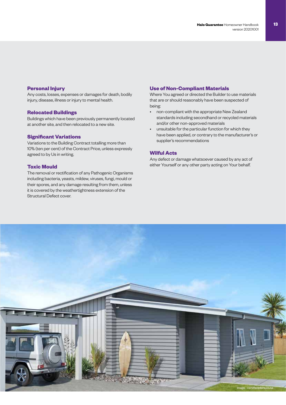#### **Personal Injury**

Any costs, losses, expenses or damages for death, bodily injury, disease, illness or injury to mental health.

#### **Relocated Buildings**

Buildings which have been previously permanently located at another site, and then relocated to a new site.

#### **Significant Variations**

Variations to the Building Contract totalling more than 10% (ten per cent) of the Contract Price, unless expressly agreed to by Us in writing.

#### **Toxic Mould**

The removal or rectification of any Pathogenic Organisms including bacteria, yeasts, mildew, viruses, fungi, mould or their spores, and any damage resulting from them, unless it is covered by the weathertightness extension of the Structural Defect cover.

#### **Use of Non-Compliant Materials**

Where You agreed or directed the Builder to use materials that are or should reasonably have been suspected of being:

- non-compliant with the appropriate New Zealand standards including secondhand or recycled materials and/or other non-approved materials
- unsuitable for the particular function for which they have been applied, or contrary to the manufacturer's or supplier's recommendations

#### **Wilful Acts**

Any defect or damage whatsoever caused by any act of either Yourself or any other party acting on Your behalf.

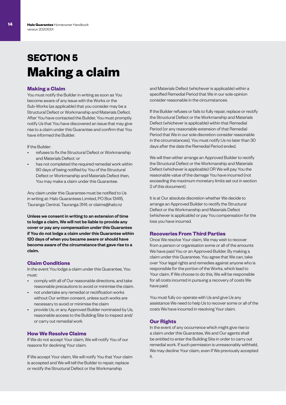### **SECTION 5 Making a claim**

#### **Making a Claim**

You must notify the Builder in writing as soon as You become aware of any issue with the Works or the Sub-Works (as applicable) that you consider may be a Structural Defect or Workmanship and Materials Defect. After You have contacted the Builder, You must promptly notify Us that You have discovered an issue that may give rise to a claim under this Guarantee and confirm that You have informed the Builder.

If the Builder:

- refuses to fix the Structural Defect or Workmanship and Materials Defect: or
- has not completed the required remedial work within 90 days of being notified by You of the Structural Defect or Workmanship and Materials Defect then, You may make a claim under this Guarantee.

Any claim under this Guarantee must be notified to Us in writing at: Halo Guarantees Limited, PO Box 13415, Tauranga Central, Tauranga 3141; or claims@halo.nz

Unless we consent in writing to an extension of time to lodge a claim, We will not be liable to provide any cover or pay any compensation under this Guarantee if You do not lodge a claim under this Guarantee within 120 days of when you became aware or should have become aware of the circumstance that gave rise to a claim.

#### **Claim Conditions**

In the event You lodge a claim under this Guarantee, You must:

- comply with all of Our reasonable directions, and take reasonable precautions to avoid or minimise the claim.
- not undertake any remedial or rectification works without Our written consent, unless such works are necessary to avoid or minimise the claim
- provide Us, or any Approved Builder nominated by Us, reasonable access to the Building Site to inspect and/ or carry out remedial work

#### **How We Resolve Claims**

If We do not accept Your claim, We will notify You of our reasons for declining Your claim.

If We accept Your claim, We will notify You that Your claim is accepted and We will tell the Builder to repair, replace or rectify the Structural Defect or the Workmanship

and Materials Defect (whichever is applicable) within a specified Remedial Period that We in our sole opinion consider reasonable in the circumstances.

If the Builder refuses or fails to fully repair, replace or rectify the Structural Defect or the Workmanship and Materials Defect (whichever is applicable) within that Remedial Period (or any reasonable extension of that Remedial Period that We in our sole discretion consider reasonable in the circumstances), You must notify Us no later than 30 days after the date the Remedial Period ended.

We will then either arrange an Approved Builder to rectify the Structural Defect or the Workmanship and Materials Defect (whichever is applicable) OR We will pay You the reasonable value of the damage You have incurred (not exceeding the maximum monetary limits set out in section 2 of this document).

It is at Our absolute discretion whether We decide to arrange an Approved Builder to rectify the Structural Defect or the Workmanship and Materials Defect (whichever is applicable) or pay You compensation for the loss you have incurred.

#### **Recoveries From Third Parties**

Once We resolve Your claim, We may wish to recover from a person or organisation some or all of the amounts We have paid You or an Approved Builder. By making a claim under this Guarantee, You agree that We can, take over Your legal rights and remedies against anyone who is responsible for the portion of the Works, which lead to Your claim. If We choose to do this, We will be responsible for all costs incurred in pursuing a recovery of costs We have paid.

You must fully co-operate with Us and give Us any assistance We need to help Us to recover some or all of the costs We have incurred in resolving Your claim.

#### **Our Rights**

In the event of any occurrence which might give rise to a claim under this Guarantee, We and Our agents shall be entitled to enter the Building Site in order to carry out remedial work. If such permission is unreasonably withheld, We may decline Your claim, even if We previously accepted it.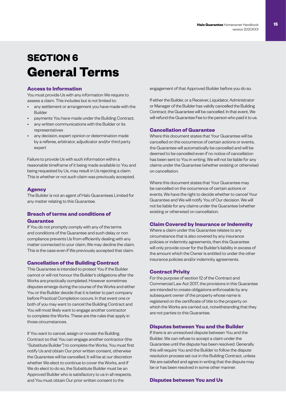### **SECTION 6 General Terms**

#### **Access to Information**

You must provide Us with any information We require to assess a claim. This includes but is not limited to:

- any settlement or arrangement you have made with the Builder
- payments You have made under the Building Contract.
- any written communications with the Builder or its representatives
- any decision, expert opinion or determination made by a referee, arbitrator, adjudicator and/or third party expert

Failure to provide Us with such information within a reasonable timeframe of it being made available to You and being requested by Us, may result in Us rejecting a claim. This is whether or not such claim was previously accepted.

#### **Agency**

The Builder is not an agent of Halo Guarantees Limited for any matter relating to this Guarantee.

### **Breach of terms and conditions of**

#### **Guarantee**

If You do not promptly comply with any of the terms and conditions of the Guarantee and such delay or non compliance prevents Us from efficiently dealing with any matter connected to your claim, We may decline the claim. This is the case even if We previously accepted that claim.

#### **Cancellation of the Building Contract**

This Guarantee is intended to protect You if the Builder cannot or will not honour the Builder's obligations after the Works are practically completed. However sometimes disputes emerge during the course of the Works and either You or the Builder decide that it is better to part company before Practical Completion occurs. In that event one or both of you may want to cancel the Building Contract and You will most likely want to engage another contractor to complete the Works. These are the rules that apply in those circumstances.

If You want to cancel, assign or novate the Building Contract so that You can engage another contractor (the "Substitute Builder") to complete the Works, You must first notify Us and obtain Our prior written consent, otherwise the Guarantee will be cancelled. It will be at our discretion whether We elect to continue to cover the Works, and if We do elect to do so, the Substitute Builder must be an Approved Builder who is satisfactory to us in all respects, and You must obtain Our prior written consent to the

engagement of that Approved Builder before you do so.

If either the Builder, or a Receiver, Liquidator, Administrator or Manager of the Builder has validly cancelled the Building Contract, the Guarantee will be cancelled. In that event, We will refund the Guarantee Fee to the person who paid it to us.

#### **Cancellation of Guarantee**

Where this document states that Your Guarantee will be cancelled on the occurrence of certain actions or events, the Guarantee will automatically be cancelled and will be deemed to be cancelled even if no notice of cancellation has been sent to You in writing. We will not be liable for any claims under the Guarantee (whether existing or otherwise) on cancellation.

Where this document states that Your Guarantee may be cancelled on the occurrence of certain actions or events, We have the right to decide whether to cancel Your Guarantee and We will notify You of Our decision. We will not be liable for any claims under the Guarantee (whether existing or otherwise) on cancellation.

#### **Claim Covered by Insurance or Indemnity**

Where a claim under this Guarantee relates to any circumstance that is also covered by any insurance policies or indemnity agreements, then this Guarantee will only provide cover for the Builder's liability in excess of the amount which the Owner is entitled to under the other insurance policies and/or indemnity agreements.

#### **Contract Privity**

For the purpose of section 12 of the Contract and Commercial Law Act 2017, the provisions in this Guarantee are intended to create obligations enforceable by any subsequent owner of the property whose name is registered on the certificate of title to the property on which the Works are carried out, notwithstanding that they are not parties to this Guarantee.

#### **Disputes between You and the Builder**

If there is an unresolved dispute between You and the Builder, We can refuse to accept a claim under the Guarantee until the dispute has been resolved. Generally this will require You and the Builder to follow the dispute resolution process set out in the Building Contract, unless We are satisfied and agree in writing that the dispute may be or has been resolved in some other manner.

#### **Disputes between You and Us**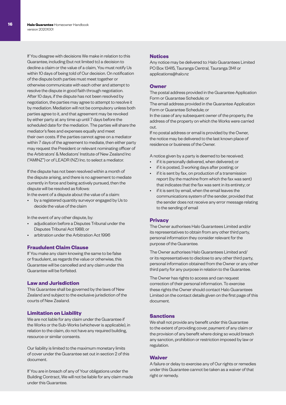If You disagree with decisions We make in relation to this Guarantee, including (but not limited to) a decision to decline a claim or the value of a claim, You must notify Us within 10 days of being told of Our decision. On notification of the dispute both parties must meet together or otherwise communicate with each other and attempt to resolve the dispute in good faith through negotiation. After 10 days, if the dispute has not been resolved by negotiation, the parties may agree to attempt to resolve it by mediation. Mediation will not be compulsory unless both parties agree to it, and that agreement may be revoked by either party at any time up until 7 days before the scheduled date for the mediation. The parties will share the mediator's fees and expenses equally and meet their own costs. If the parties cannot agree on a mediator within 7 days of the agreement to mediate, then either party may request the President or relevant nominating officer of the Arbitrators' & Mediators' Institute of New Zealand Inc ("AMINZ") or of LEADR (NZ) Inc. to select a mediator.

If the dispute has not been resolved within a month of the dispute arising, and there is no agreement to mediate currently in force and being actively pursued, then the dispute will be resolved as follows:

In the event of a dispute about the value of a claim:

• by a registered quantity surveyor engaged by Us to decide the value of the claim

In the event of any other dispute, by:

- adjudication before a Disputes Tribunal under the Disputes Tribunal Act 1988; or
- arbitration under the Arbitration Act 1996

#### **Fraudulent Claim Clause**

If You make any claim knowing the same to be false or fraudulent, as regards the value or otherwise, this Guarantee will be cancelled and any claim under this Guarantee will be forfeited.

#### **Law and Jurisdiction**

This Guarantee shall be governed by the laws of New Zealand and subject to the exclusive jurisdiction of the courts of New Zealand.

#### **Limitation on Liability**

We are not liable for any claim under the Guarantee if the Works or the Sub-Works (whichever is applicable), in relation to the claim, do not have any required building, resource or similar consents.

Our liability is limited to the maximum monetary limits of cover under the Guarantee set out in section 2 of this document.

If You are in breach of any of Your obligations under the Building Contract, We will not be liable for any claim made under this Guarantee.

#### **Notices**

Any notice may be delivered to: Halo Guarantees Limited PO Box 13415, Tauranga Central, Tauranga 3141 or applications@halo.nz

#### **Owner**

The postal address provided in the Guarantee Application Form or Guarantee Schedule; or

The email address provided in the Guarantee Application Form or Guarantee Schedule; or

In the case of any subsequent owner of the property, the address of the property on which the Works were carried out.

If no postal address or email is provided by the Owner, the notice may be delivered to the last known place of residence or business of the Owner.

A notice given by a party is deemed to be received;

- if it is personally delivered, when delivered; or
- if it is posted, 3 working days after posting; or
- if it is sent by fax, on production of a transmission report (by the machine from which the fax was sent) that indicates that the fax was sent in its entirety; or
- if it is sent by email, when the email leaves the communications system of the sender, provided that the sender does not receive any error message relating to the sending of email

#### **Privacy**

The Owner authorises Halo Guarantees Limited and/or its representatives to obtain from any other third party, personal information they consider relevant for the purpose of the Guarantee.

The Owner authorises Halo Guarantees Limited and/ or its representatives to disclose to any other third party, personal information obtained from the Owner or any other third party for any purpose in relation to the Guarantee.

The Owner has rights to access and can request correction of their personal information. To exercise these rights the Owner should contact Halo Guarantees Limited on the contact details given on the first page of this document.

#### **Sanctions**

We shall not provide any benefit under this Guarantee to the extent of providing cover, payment of any claim or the provision of any benefit where doing so would breach any sanction, prohibition or restriction imposed by law or regulation.

#### **Waiver**

A failure or delay to exercise any of Our rights or remedies under this Guarantee cannot be taken as a waiver of that right or remedy.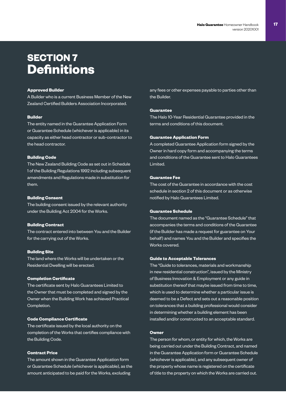### **SECTION 7 Definitions**

#### **Approved Builder**

A Builder who is a current Business Member of the New Zealand Certified Builders Association Incorporated.

#### **Builder**

The entity named in the Guarantee Application Form or Guarantee Schedule (whichever is applicable) in its capacity as either head contractor or sub-contractor to the head contractor.

#### **Building Code**

The New Zealand Building Code as set out in Schedule 1 of the Building Regulations 1992 including subsequent amendments and Regulations made in substitution for them.

#### **Building Consent**

The building consent issued by the relevant authority under the Building Act 2004 for the Works.

#### **Building Contract**

The contract entered into between You and the Builder for the carrying out of the Works.

#### **Building Site**

The land where the Works will be undertaken or the Residential Dwelling will be erected.

#### **Completion Certificate**

The certificate sent by Halo Guarantees Limited to the Owner that must be completed and signed by the Owner when the Building Work has achieved Practical Completion.

#### **Code Compliance Certificate**

The certificate issued by the local authority on the completion of the Works that certifies compliance with the Building Code.

#### **Contract Price**

The amount shown in the Guarantee Application form or Guarantee Schedule (whichever is applicable), as the amount anticipated to be paid for the Works, excluding

any fees or other expenses payable to parties other than the Builder.

#### **Guarantee**

The Halo 10-Year Residential Guarantee provided in the terms and conditions of this document.

#### **Guarantee Application Form**

A completed Guarantee Application form signed by the Owner in hard copy form and accompanying the terms and conditions of the Guarantee sent to Halo Guarantees Limited.

#### **Guarantee Fee**

The cost of the Guarantee in accordance with the cost schedule in section 2 of this document or as otherwise notified by Halo Guarantees Limited.

#### **Guarantee Schedule**

The document named as the "Guarantee Schedule" that accompanies the terms and conditions of the Guarantee (if the Builder has made a request for guarantee on Your behalf) and names You and the Builder and specifies the Works covered.

#### **Guide to Acceptable Tolerances**

The "Guide to tolerances, materials and workmanship in new residential construction", issued by the Ministry of Business Innovation & Employment or any guide in substitution thereof that maybe issued from time to time, which is used to determine whether a particular issue is deemed to be a Defect and sets out a reasonable position on tolerances that a building professional would consider in determining whether a building element has been installed and/or constructed to an acceptable standard.

#### **Owner**

The person for whom, or entity for which, the Works are being carried out under the Building Contract, and named in the Guarantee Application form or Guarantee Schedule (whichever is applicable), and any subsequent owner of the property whose name is registered on the certificate of title to the property on which the Works are carried out.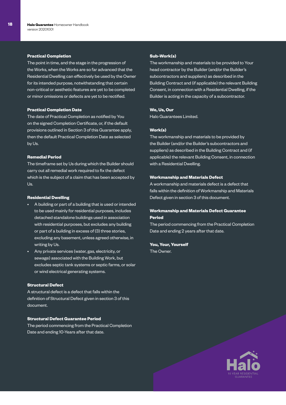#### **Practical Completion**

The point in time, and the stage in the progression of the Works, when the Works are so far advanced that the Residential Dwelling can effectively be used by the Owner for its intended purpose, notwithstanding that certain non-critical or aesthetic features are yet to be completed or minor omissions or defects are yet to be rectified.

#### **Practical Completion Date**

The date of Practical Completion as notified by You on the signed Completion Certificate, or, if the default provisions outlined in Section 3 of this Guarantee apply, then the default Practical Completion Date as selected by Us.

#### **Remedial Period**

The timeframe set by Us during which the Builder should carry out all remedial work required to fix the defect which is the subject of a claim that has been accepted by Us.

#### **Residential Dwelling**

- A building or part of a building that is used or intended to be used mainly for residential purposes, includes detached standalone buildings used in association with residential purposes, but excludes any building or part of a building in excess of (3) three stories, excluding any basement, unless agreed otherwise, in writing by Us.
- Any private services (water, gas, electricity, or sewage) associated with the Building Work, but excludes septic tank systems or septic farms, or solar or wind electrical generating systems.

#### **Structural Defect**

A structural defect is a defect that falls within the definition of Structural Defect given in section 3 of this document.

#### **Structural Defect Guarantee Period**

The period commencing from the Practical Completion Date and ending 10-Years after that date.

#### **Sub-Work(s)**

The workmanship and materials to be provided to Your head contractor by the Builder (and/or the Builder's subcontractors and suppliers) as described in the Building Contract and (if applicable) the relevant Building Consent, in connection with a Residential Dwelling, if the Builder is acting in the capacity of a subcontractor.

#### **We, Us, Our**

Halo Guarantees Limited.

#### **Work(s)**

The workmanship and materials to be provided by the Builder (and/or the Builder's subcontractors and suppliers) as described in the Building Contract and (if applicable) the relevant Building Consent, in connection with a Residential Dwelling.

#### **Workmanship and Materials Defect**

A workmanship and materials defect is a defect that falls within the definition of Workmanship and Materials Defect given in section 3 of this document.

#### **Workmanship and Materials Defect Guarantee Period**

The period commencing from the Practical Completion Date and ending 2 years after that date.

**You, Your, Yourself** The Owner.

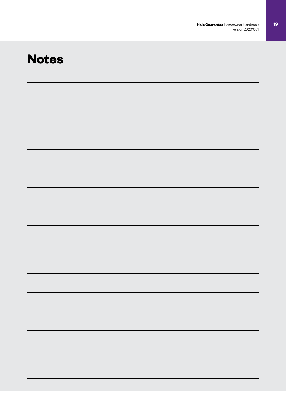### **Notes**

| - |
|---|
|   |
|   |
|   |
|   |
|   |
|   |